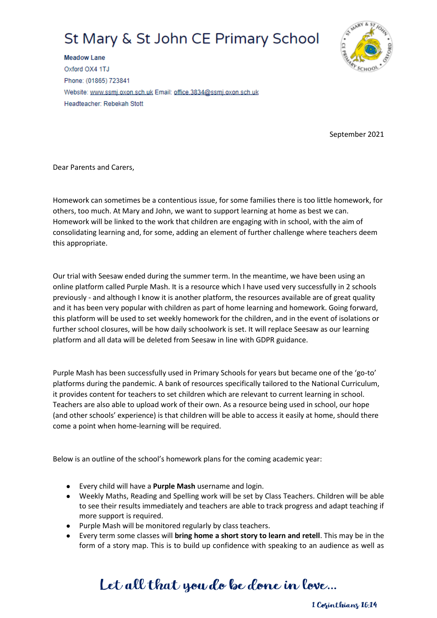# St Mary & St John CE Primary School



**Meadow Lane** Oxford OX4 1TJ Phone: (01865) 723841 Website: www.ssmj.oxon.sch.uk Email: office.3834@ssmj.oxon.sch.uk Headteacher: Rebekah Stott

September 2021

Dear Parents and Carers,

Homework can sometimes be a contentious issue, for some families there is too little homework, for others, too much. At Mary and John, we want to support learning at home as best we can. Homework will be linked to the work that children are engaging with in school, with the aim of consolidating learning and, for some, adding an element of further challenge where teachers deem this appropriate.

Our trial with Seesaw ended during the summer term. In the meantime, we have been using an online platform called Purple Mash. It is a resource which I have used very successfully in 2 schools previously - and although I know it is another platform, the resources available are of great quality and it has been very popular with children as part of home learning and homework. Going forward, this platform will be used to set weekly homework for the children, and in the event of isolations or further school closures, will be how daily schoolwork is set. It will replace Seesaw as our learning platform and all data will be deleted from Seesaw in line with GDPR guidance.

Purple Mash has been successfully used in Primary Schools for years but became one of the 'go-to' platforms during the pandemic. A bank of resources specifically tailored to the National Curriculum, it provides content for teachers to set children which are relevant to current learning in school. Teachers are also able to upload work of their own. As a resource being used in school, our hope (and other schools' experience) is that children will be able to access it easily at home, should there come a point when home-learning will be required.

Below is an outline of the school's homework plans for the coming academic year:

- Every child will have a **Purple Mash** username and login.
- Weekly Maths, Reading and Spelling work will be set by Class Teachers. Children will be able to see their results immediately and teachers are able to track progress and adapt teaching if more support is required.
- Purple Mash will be monitored regularly by class teachers.
- Every term some classes will **bring home a short story to learn and retell**. This may be in the form of a story map. This is to build up confidence with speaking to an audience as well as

### Let all that you do be done in love...

1 Copinthians 16:14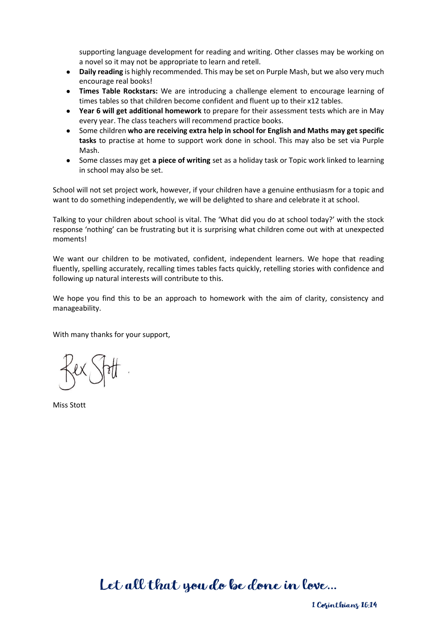supporting language development for reading and writing. Other classes may be working on a novel so it may not be appropriate to learn and retell.

- **Daily reading** is highly recommended. This may be set on Purple Mash, but we also very much encourage real books!
- **Times Table Rockstars:** We are introducing a challenge element to encourage learning of times tables so that children become confident and fluent up to their x12 tables.
- **Year 6 will get additional homework** to prepare for their assessment tests which are in May every year. The class teachers will recommend practice books.
- Some children **who are receiving extra help in school for English and Maths may get specific tasks** to practise at home to support work done in school. This may also be set via Purple Mash.
- Some classes may get **a piece of writing** set as a holiday task or Topic work linked to learning in school may also be set.

School will not set project work, however, if your children have a genuine enthusiasm for a topic and want to do something independently, we will be delighted to share and celebrate it at school.

Talking to your children about school is vital. The 'What did you do at school today?' with the stock response 'nothing' can be frustrating but it is surprising what children come out with at unexpected moments!

We want our children to be motivated, confident, independent learners. We hope that reading fluently, spelling accurately, recalling times tables facts quickly, retelling stories with confidence and following up natural interests will contribute to this.

We hope you find this to be an approach to homework with the aim of clarity, consistency and manageability.

With many thanks for your support,

Miss Stott

Let all that you do be done in love...

1 Corinthians 16:14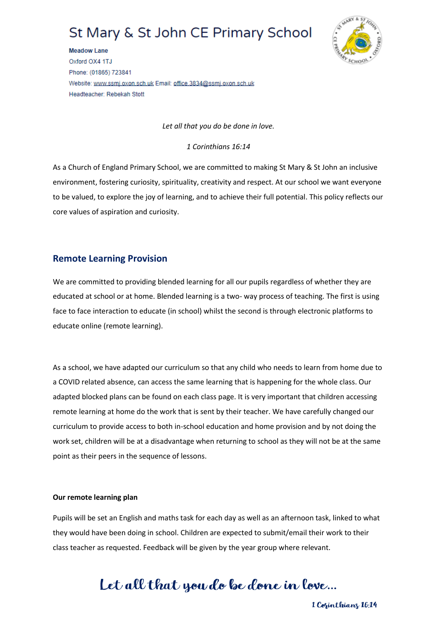### St Mary & St John CE Primary School



**Meadow Lane** Oxford OX4 1TJ Phone: (01865) 723841 Website: www.ssmj.oxon.sch.uk Email: office.3834@ssmj.oxon.sch.uk Headteacher: Rebekah Stott

*Let all that you do be done in love.*

*1 Corinthians 16:14*

As a Church of England Primary School, we are committed to making St Mary & St John an inclusive environment, fostering curiosity, spirituality, creativity and respect. At our school we want everyone to be valued, to explore the joy of learning, and to achieve their full potential. This policy reflects our core values of aspiration and curiosity.

#### **Remote Learning Provision**

We are committed to providing blended learning for all our pupils regardless of whether they are educated at school or at home. Blended learning is a two- way process of teaching. The first is using face to face interaction to educate (in school) whilst the second is through electronic platforms to educate online (remote learning).

As a school, we have adapted our curriculum so that any child who needs to learn from home due to a COVID related absence, can access the same learning that is happening for the whole class. Our adapted blocked plans can be found on each class page. It is very important that children accessing remote learning at home do the work that is sent by their teacher. We have carefully changed our curriculum to provide access to both in-school education and home provision and by not doing the work set, children will be at a disadvantage when returning to school as they will not be at the same point as their peers in the sequence of lessons.

#### **Our remote learning plan**

Pupils will be set an English and maths task for each day as well as an afternoon task, linked to what they would have been doing in school. Children are expected to submit/email their work to their class teacher as requested. Feedback will be given by the year group where relevant.

## Let all that you do be done in love...

1 Copinthians 16:14